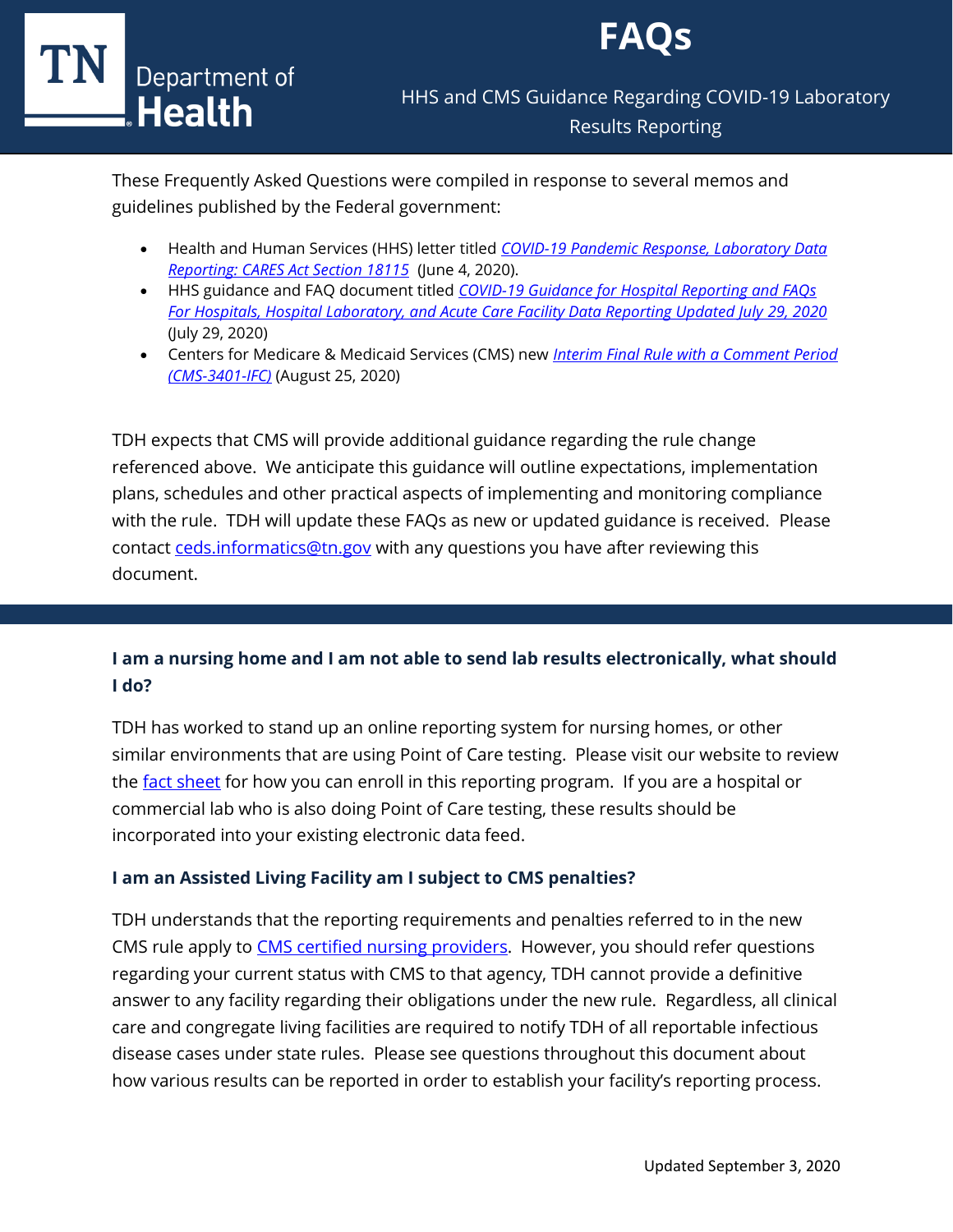



These Frequently Asked Questions were compiled in response to several memos and guidelines published by the Federal government:

- Health and Human Services (HHS) letter titled *[COVID-19 Pandemic Response, Laboratory Data](https://www.hhs.gov/sites/default/files/covid-19-laboratory-data-reporting-guidance.pdf)  [Reporting: CARES Act Section 18115](https://www.hhs.gov/sites/default/files/covid-19-laboratory-data-reporting-guidance.pdf)* (June 4, 2020).
- HHS guidance and FAQ document titled *[COVID-19 Guidance for Hospital Reporting and FAQs](https://www.hhs.gov/sites/default/files/covid-19-faqs-hospitals-hospital-laboratory-acute-care-facility-data-reporting.pdf)  [For Hospitals, Hospital Laboratory, and Acute Care Facility Data Reporting Updated July 29, 2020](https://www.hhs.gov/sites/default/files/covid-19-faqs-hospitals-hospital-laboratory-acute-care-facility-data-reporting.pdf)* (July 29, 2020)
- Centers for Medicare & Medicaid Services (CMS) new *[Interim Final Rule with a Comment Period](https://www.cms.gov/files/document/covid-ifc-3-8-25-20.pdf)  [\(CMS-3401-IFC\)](https://www.cms.gov/files/document/covid-ifc-3-8-25-20.pdf)* (August 25, 2020)

TDH expects that CMS will provide additional guidance regarding the rule change referenced above. We anticipate this guidance will outline expectations, implementation plans, schedules and other practical aspects of implementing and monitoring compliance with the rule. TDH will update these FAQs as new or updated guidance is received. Please contact [ceds.informatics@tn.gov](mailto:ceds.informatics@tn.gov) with any questions you have after reviewing this document.

# **I am a nursing home and I am not able to send lab results electronically, what should I do?**

TDH has worked to stand up an online reporting system for nursing homes, or other similar environments that are using Point of Care testing. Please visit our website to review the [fact sheet](https://www.tn.gov/content/dam/tn/health/documents/cedep/novel-coronavirus/POC-Reporting-Guidance.pdf) for how you can enroll in this reporting program. If you are a hospital or commercial lab who is also doing Point of Care testing, these results should be incorporated into your existing electronic data feed.

### **I am an Assisted Living Facility am I subject to CMS penalties?**

TDH understands that the reporting requirements and penalties referred to in the new CMS rule apply to [CMS certified nursing providers.](https://www.cms.gov/Medicare/Provider-Enrollment-and-Certification/CertificationandComplianc/NHs) However, you should refer questions regarding your current status with CMS to that agency, TDH cannot provide a definitive answer to any facility regarding their obligations under the new rule. Regardless, all clinical care and congregate living facilities are required to notify TDH of all reportable infectious disease cases under state rules. Please see questions throughout this document about how various results can be reported in order to establish your facility's reporting process.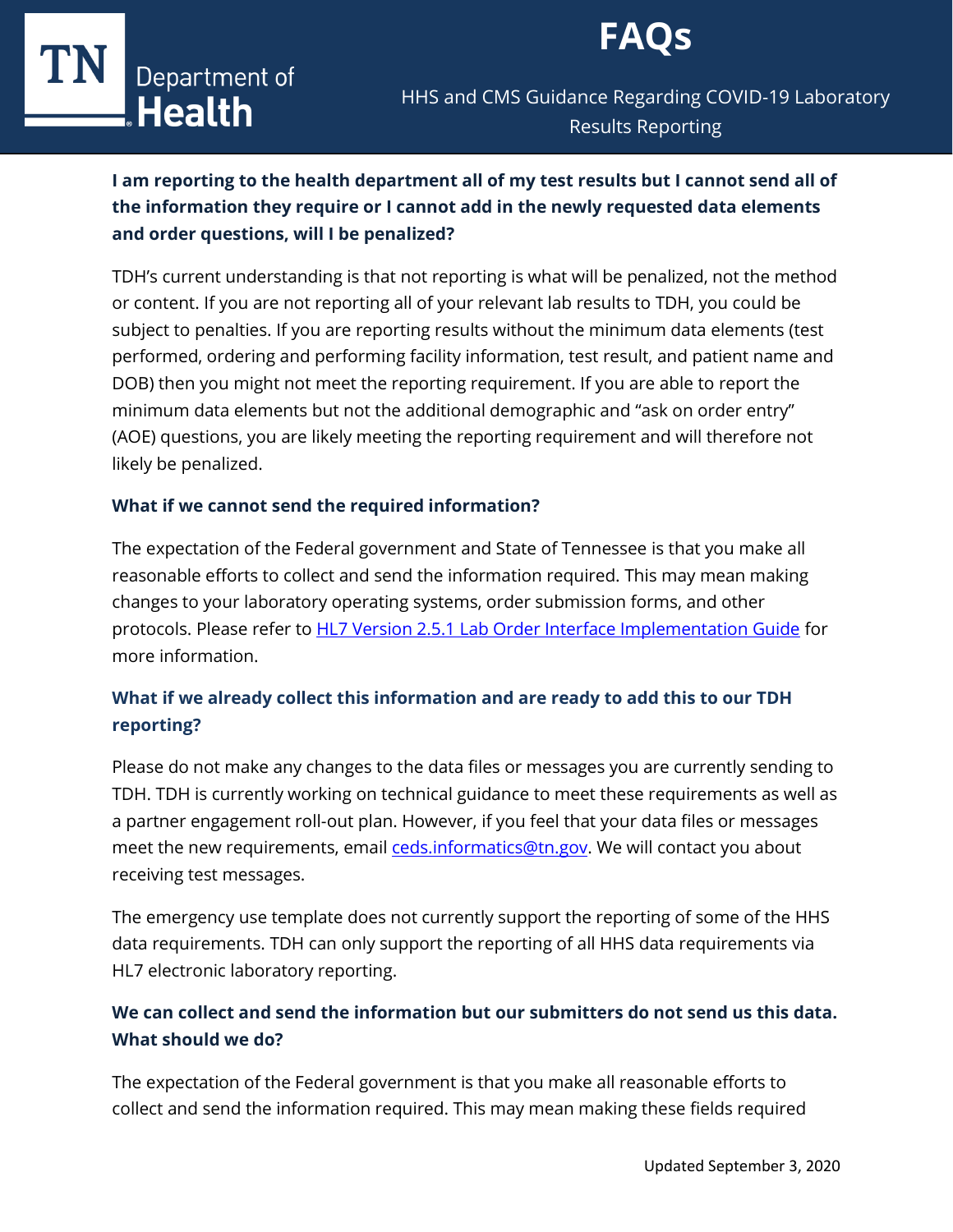

# TIN Department of

HHS and CMS Guidance Regarding COVID-19 Laboratory Results Reporting

# **I am reporting to the health department all of my test results but I cannot send all of the information they require or I cannot add in the newly requested data elements and order questions, will I be penalized?**

TDH's current understanding is that not reporting is what will be penalized, not the method or content. If you are not reporting all of your relevant lab results to TDH, you could be subject to penalties. If you are reporting results without the minimum data elements (test performed, ordering and performing facility information, test result, and patient name and DOB) then you might not meet the reporting requirement. If you are able to report the minimum data elements but not the additional demographic and "ask on order entry" (AOE) questions, you are likely meeting the reporting requirement and will therefore not likely be penalized.

### **What if we cannot send the required information?**

The expectation of the Federal government and State of Tennessee is that you make all reasonable efforts to collect and send the information required. This may mean making changes to your laboratory operating systems, order submission forms, and other protocols. Please refer to **HL7 Version 2.5.1 Lab Order Interface Implementation Guide** for more information.

# **What if we already collect this information and are ready to add this to our TDH reporting?**

Please do not make any changes to the data files or messages you are currently sending to TDH. TDH is currently working on technical guidance to meet these requirements as well as a partner engagement roll-out plan. However, if you feel that your data files or messages meet the new requirements, emai[l ceds.informatics@tn.gov.](mailto:ceds.informatics@tn.gov) We will contact you about receiving test messages.

The emergency use template does not currently support the reporting of some of the HHS data requirements. TDH can only support the reporting of all HHS data requirements via HL7 electronic laboratory reporting.

# **We can collect and send the information but our submitters do not send us this data. What should we do?**

The expectation of the Federal government is that you make all reasonable efforts to collect and send the information required. This may mean making these fields required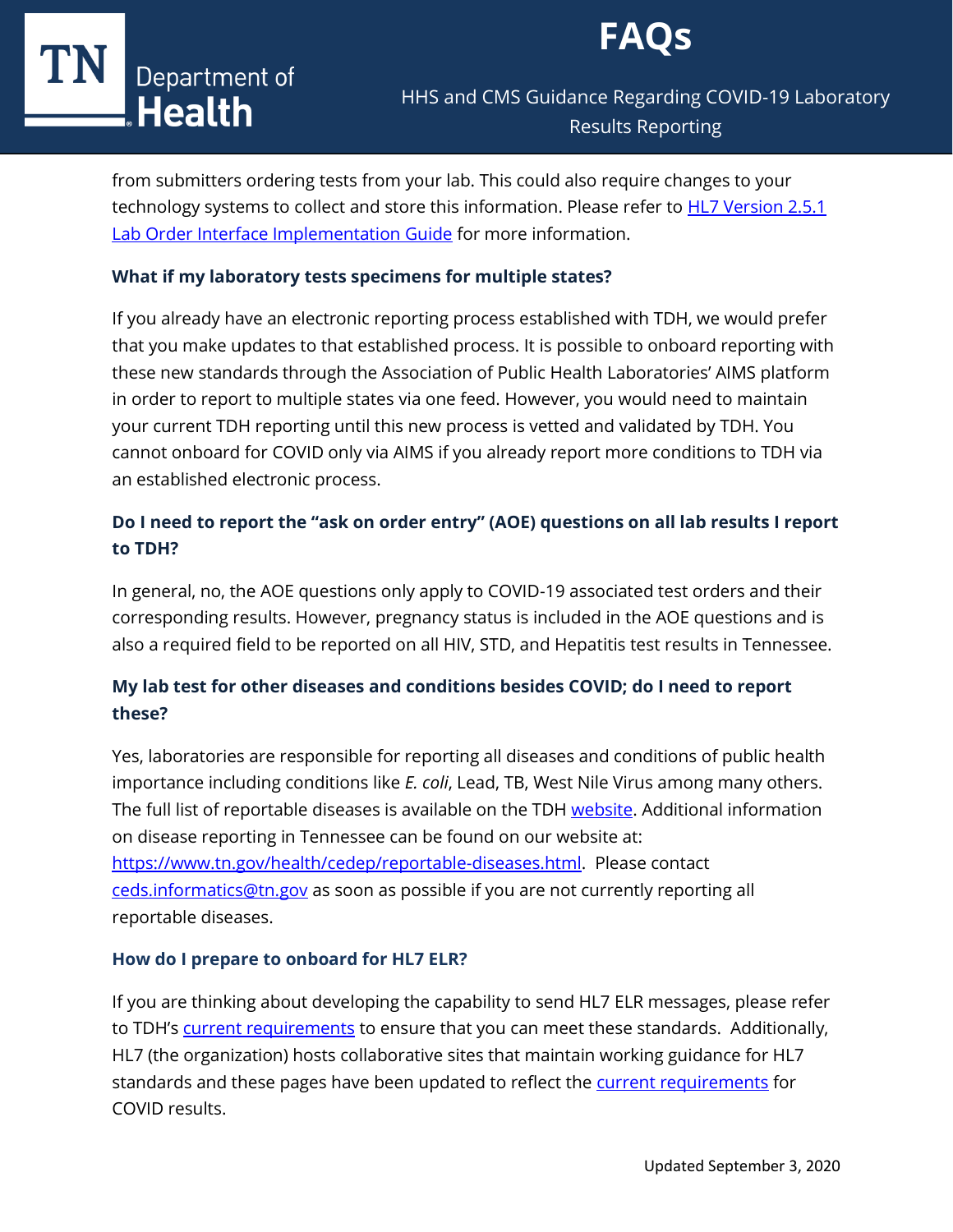

# HHS and CMS Guidance Regarding COVID-19 Laboratory Results Reporting

from submitters ordering tests from your lab. This could also require changes to your technology systems to collect and store this information. Please refer to [HL7 Version 2.5.1](https://www.hl7.org/implement/standards/product_brief.cfm?product_id=152)  [Lab Order Interface Implementation Guide](https://www.hl7.org/implement/standards/product_brief.cfm?product_id=152) for more information.

### **What if my laboratory tests specimens for multiple states?**

If you already have an electronic reporting process established with TDH, we would prefer that you make updates to that established process. It is possible to onboard reporting with these new standards through the Association of Public Health Laboratories' AIMS platform in order to report to multiple states via one feed. However, you would need to maintain your current TDH reporting until this new process is vetted and validated by TDH. You cannot onboard for COVID only via AIMS if you already report more conditions to TDH via an established electronic process.

# **Do I need to report the "ask on order entry" (AOE) questions on all lab results I report to TDH?**

In general, no, the AOE questions only apply to COVID-19 associated test orders and their corresponding results. However, pregnancy status is included in the AOE questions and is also a required field to be reported on all HIV, STD, and Hepatitis test results in Tennessee.

# **My lab test for other diseases and conditions besides COVID; do I need to report these?**

Yes, laboratories are responsible for reporting all diseases and conditions of public health importance including conditions like *E. coli*, Lead, TB, West Nile Virus among many others. The full list of reportable diseases is available on the TDH [website.](https://www.tn.gov/content/dam/tn/health/documents/reportable-diseases/2020_List_For_Laboratories.pdf) Additional information on disease reporting in Tennessee can be found on our website at: [https://www.tn.gov/health/cedep/reportable-diseases.html.](https://www.tn.gov/health/cedep/reportable-diseases.html) Please contact [ceds.informatics@tn.gov](mailto:ceds.informatics@tn.gov) as soon as possible if you are not currently reporting all reportable diseases.

### **How do I prepare to onboard for HL7 ELR?**

If you are thinking about developing the capability to send HL7 ELR messages, please refer to TDH's [current requirements](https://www.tn.gov/health/cedep/meaningful-use-summary/laboratory-result-reporting.html) to ensure that you can meet these standards. Additionally, HL7 (the organization) hosts collaborative sites that maintain working guidance for HL7 standards and these pages have been updated to reflect the **current requirements** for COVID results.